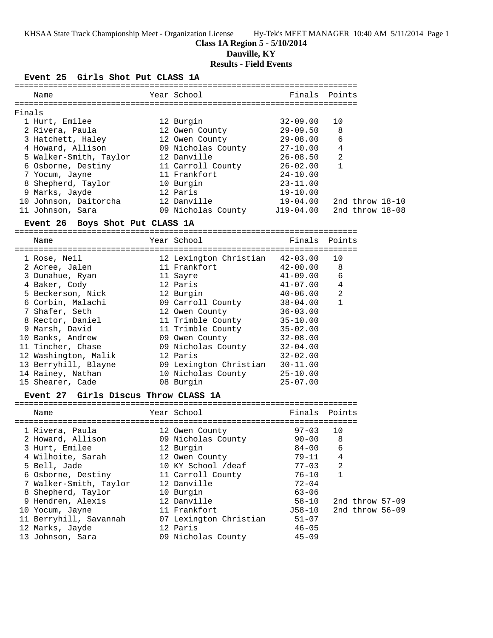KHSAA State Track Championship Meet - Organization License Hy-Tek's MEET MANAGER 10:40 AM 5/11/2014 Page 1

### **Class 1A Region 5 - 5/10/2014 Danville, KY**

### **Results - Field Events**

#### **Event 25 Girls Shot Put CLASS 1A**

| Name                   | Year School        | Finals       | Points            |
|------------------------|--------------------|--------------|-------------------|
| Finals                 |                    |              |                   |
| 1 Hurt, Emilee         | 12 Burgin          | $32 - 09.00$ | 10                |
| 2 Rivera, Paula        | 12 Owen County     | $29 - 09.50$ | 8                 |
| 3 Hatchett, Haley      | 12 Owen County     | $29 - 08.00$ | 6                 |
| 4 Howard, Allison      | 09 Nicholas County | $27 - 10.00$ | 4                 |
| 5 Walker-Smith, Taylor | 12 Danville        | $26 - 08.50$ | $\overline{2}$    |
| 6 Osborne, Destiny     | 11 Carroll County  | $26 - 02.00$ |                   |
| 7 Yocum, Jayne         | 11 Frankfort       | $24 - 10.00$ |                   |
| 8 Shepherd, Taylor     | 10 Burgin          | $23 - 11.00$ |                   |
| 9 Marks, Jayde         | 12 Paris           | $19 - 10.00$ |                   |
| 10 Johnson, Daitorcha  | 12 Danville        | $19 - 04.00$ | 2nd throw $18-10$ |
| Johnson, Sara<br>11    | 09 Nicholas County | J19-04.00    | 2nd throw $18-08$ |
|                        |                    |              |                   |

#### **Event 26 Boys Shot Put CLASS 1A**

=======================================================================

| Name                 |  | Finals                                                                                                                                                                                                                                                                                       | Points         |
|----------------------|--|----------------------------------------------------------------------------------------------------------------------------------------------------------------------------------------------------------------------------------------------------------------------------------------------|----------------|
| 1 Rose, Neil         |  | 42-03.00                                                                                                                                                                                                                                                                                     | 10             |
| 2 Acree, Jalen       |  | $42 - 00.00$                                                                                                                                                                                                                                                                                 | 8              |
| 3 Dunahue, Ryan      |  | $41 - 09.00$                                                                                                                                                                                                                                                                                 | 6              |
| 4 Baker, Cody        |  | $41 - 07.00$                                                                                                                                                                                                                                                                                 | $\overline{4}$ |
| 5 Beckerson, Nick    |  | $40 - 06.00$                                                                                                                                                                                                                                                                                 | 2              |
| 6 Corbin, Malachi    |  | $38 - 04.00$                                                                                                                                                                                                                                                                                 | $\mathbf{1}$   |
| 7 Shafer, Seth       |  | $36 - 03.00$                                                                                                                                                                                                                                                                                 |                |
| 8 Rector, Daniel     |  | $35 - 10.00$                                                                                                                                                                                                                                                                                 |                |
| 9 Marsh, David       |  | $35 - 02.00$                                                                                                                                                                                                                                                                                 |                |
| 10 Banks, Andrew     |  | $32 - 08.00$                                                                                                                                                                                                                                                                                 |                |
| 11 Tincher, Chase    |  | $32 - 04.00$                                                                                                                                                                                                                                                                                 |                |
| 12 Washington, Malik |  | $32 - 02.00$                                                                                                                                                                                                                                                                                 |                |
| 13 Berryhill, Blayne |  | $30 - 11.00$                                                                                                                                                                                                                                                                                 |                |
| 14 Rainey, Nathan    |  | $25 - 10.00$                                                                                                                                                                                                                                                                                 |                |
| 15 Shearer, Cade     |  | $25 - 07.00$                                                                                                                                                                                                                                                                                 |                |
|                      |  | Year School<br>12 Lexington Christian<br>11 Frankfort<br>11 Sayre<br>12 Paris<br>12 Burgin<br>09 Carroll County<br>12 Owen County<br>11 Trimble County<br>11 Trimble County<br>09 Owen County<br>09 Nicholas County<br>12 Paris<br>09 Lexington Christian<br>10 Nicholas County<br>08 Burgin |                |

#### **Event 27 Girls Discus Throw CLASS 1A**

| Name                   | Year School            | Finals Points |                   |
|------------------------|------------------------|---------------|-------------------|
|                        | ---------------------  |               |                   |
| 1 Rivera, Paula        | 12 Owen County         | $97 - 03$     | 10                |
| 2 Howard, Allison      | 09 Nicholas County     | $90 - 00$     | 8                 |
| 3 Hurt, Emilee         | 12 Burgin              | 84-00         | 6                 |
| 4 Wilhoite, Sarah      | 12 Owen County         | $79 - 11$     | 4                 |
| 5 Bell, Jade           | 10 KY School /deaf     | $77 - 03$     | 2                 |
| 6 Osborne, Destiny     | 11 Carroll County      | 76-10         | $\mathbf{1}$      |
| 7 Walker-Smith, Taylor | 12 Danville            | $72 - 04$     |                   |
| 8 Shepherd, Taylor     | 10 Burgin              | $63 - 06$     |                   |
| 9 Hendren, Alexis      | 12 Danville            | 58-10         | 2nd throw 57-09   |
| 10 Yocum, Jayne        | 11 Frankfort           | J58-10        | 2nd throw $56-09$ |
| 11 Berryhill, Savannah | 07 Lexington Christian | $51 - 07$     |                   |
| 12 Marks, Jayde        | 12 Paris               | $46 - 05$     |                   |
| 13 Johnson, Sara       | 09 Nicholas County     | $45 - 09$     |                   |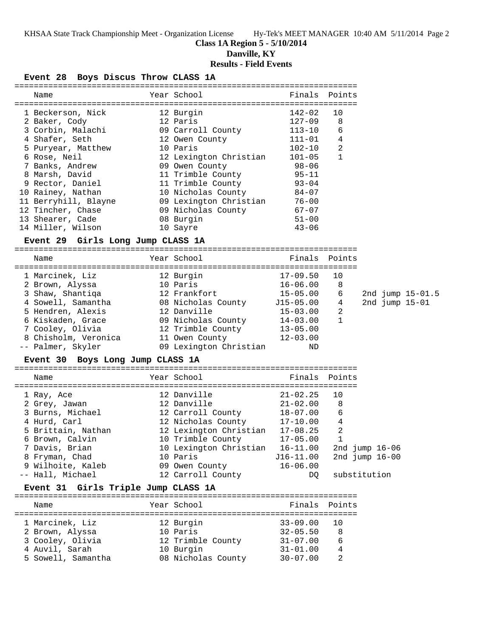## **Class 1A Region 5 - 5/10/2014**

**Danville, KY**

### **Results - Field Events**

**Event 28 Boys Discus Throw CLASS 1A**

| Name                                | Year School                                                                                  | Finals Points |              |                  |  |
|-------------------------------------|----------------------------------------------------------------------------------------------|---------------|--------------|------------------|--|
| 1 Beckerson, Nick                   | 12 Burgin                                                                                    | $142 - 02$    | 10           |                  |  |
| 2 Baker, Cody                       | 12 Paris                                                                                     | 127-09        | 8            |                  |  |
| 3 Corbin, Malachi                   | 09 Carroll County                                                                            | $113 - 10$    | 6            |                  |  |
| 4 Shafer, Seth                      | 12 Owen County                                                                               | $111 - 01$    | 4            |                  |  |
| 5 Puryear, Matthew                  | 10 Paris                                                                                     | $102 - 10$    | 2            |                  |  |
| 6 Rose, Neil                        | 12 Lexington Christian 101-05                                                                |               | $\mathbf{1}$ |                  |  |
| 7 Banks, Andrew                     |                                                                                              | 98-06         |              |                  |  |
| 8 Marsh, David                      | Journal County<br>11 Trimble County<br>11 Theory                                             | $95 - 11$     |              |                  |  |
| 9 Rector, Daniel                    | 11 Trimble County 93-04                                                                      |               |              |                  |  |
| 10 Rainey, Nathan                   | 10 Nicholas County 84-07                                                                     |               |              |                  |  |
| 11 Berryhill, Blayne                | 09 Lexington Christian 76-00                                                                 |               |              |                  |  |
| 12 Tincher, Chase                   | 09 Nicholas County                                                                           | 67-07         |              |                  |  |
| 13 Shearer, Cade                    | 08 Burgin                                                                                    | $51 - 00$     |              |                  |  |
| 14 Miller, Wilson                   | 10 Sayre                                                                                     | $43 - 06$     |              |                  |  |
| Event 29 Girls Long Jump CLASS 1A   |                                                                                              |               |              |                  |  |
| Name                                | Year School                                                                                  | Finals Points |              |                  |  |
| 1 Marcinek, Liz                     | 12 Burgin 17-09.50                                                                           |               | 10           |                  |  |
| 2 Brown, Alyssa                     | 10 Paris                                                                                     | $16 - 06.00$  | 8            |                  |  |
| 3 Shaw, Shantiqa (12 Frankfort)     |                                                                                              | $15 - 05.00$  | 6            | 2nd jump 15-01.5 |  |
|                                     |                                                                                              |               | 4            | 2nd jump $15-01$ |  |
| 5 Hendren, Alexis                   | 12 Danville                                                                                  | $15 - 03.00$  | 2            |                  |  |
| 6 Kiskaden, Grace                   |                                                                                              |               | $\mathbf{1}$ |                  |  |
| 7 Cooley, Olivia                    | 09 Nicholas County 14-03.00<br>12 Trimble County 13-05.00                                    |               |              |                  |  |
| 8 Chisholm, Veronica                | 11 0wen County 12-03.00                                                                      |               |              |                  |  |
| -- Palmer, Skyler                   | 09 Lexington Christian                                                                       | ND            |              |                  |  |
| Event 30 Boys Long Jump CLASS 1A    |                                                                                              |               |              |                  |  |
| Name                                | Year School                                                                                  | Finals Points |              |                  |  |
|                                     |                                                                                              |               |              |                  |  |
| 1 Ray, Ace                          | 12 Danville                                                                                  | $21 - 02.25$  | 10           |                  |  |
| 2 Grey, Jawan                       | 12 Danville                                                                                  | $21 - 02.00$  | 8            |                  |  |
| 3 Burns, Michael                    | 12 Carroll County 18-07.00<br>12 Nicholas County 17-10.00<br>12 Lexington Christian 17-08.25 |               | 6            |                  |  |
| 4 Hurd, Carl                        |                                                                                              |               | 4            |                  |  |
| 5 Brittain, Nathan                  |                                                                                              |               | 2            |                  |  |
| 6 Brown, Calvin                     | 10 Trimble County 17-05.00 1                                                                 |               |              |                  |  |
| 7 Davis, Brian                      | 10 Lexington Christian 16-11.00                                                              |               |              | 2nd jump $16-06$ |  |
| 8 Fryman, Chad                      | 10 Paris                                                                                     | $J16-11.00$   |              | 2nd jump $16-00$ |  |
| 9 Wilhoite, Kaleb                   | 09 Owen County                                                                               | $16 - 06.00$  |              |                  |  |
| -- Hall, Michael                    | 12 Carroll County                                                                            | DO.           |              | substitution     |  |
| Event 31 Girls Triple Jump CLASS 1A |                                                                                              |               |              |                  |  |
| Name                                | Year School                                                                                  | Finals Points |              |                  |  |
| 1 Marcinek, Liz                     | 12 Burgin                                                                                    | $33 - 09.00$  | 10           |                  |  |
| 2 Brown, Alyssa                     | 10 Paris                                                                                     | 32-05.50      | 8            |                  |  |
| 3 Cooley, Olivia                    | 12 Trimble County 31-07.00                                                                   |               | 6            |                  |  |
| 4 Auvil, Sarah                      | 10 Burgin                                                                                    | 31-01.00      | 4            |                  |  |
| 5 Sowell, Samantha                  | 08 Nicholas County 30-07.00                                                                  |               | 2            |                  |  |
|                                     |                                                                                              |               |              |                  |  |